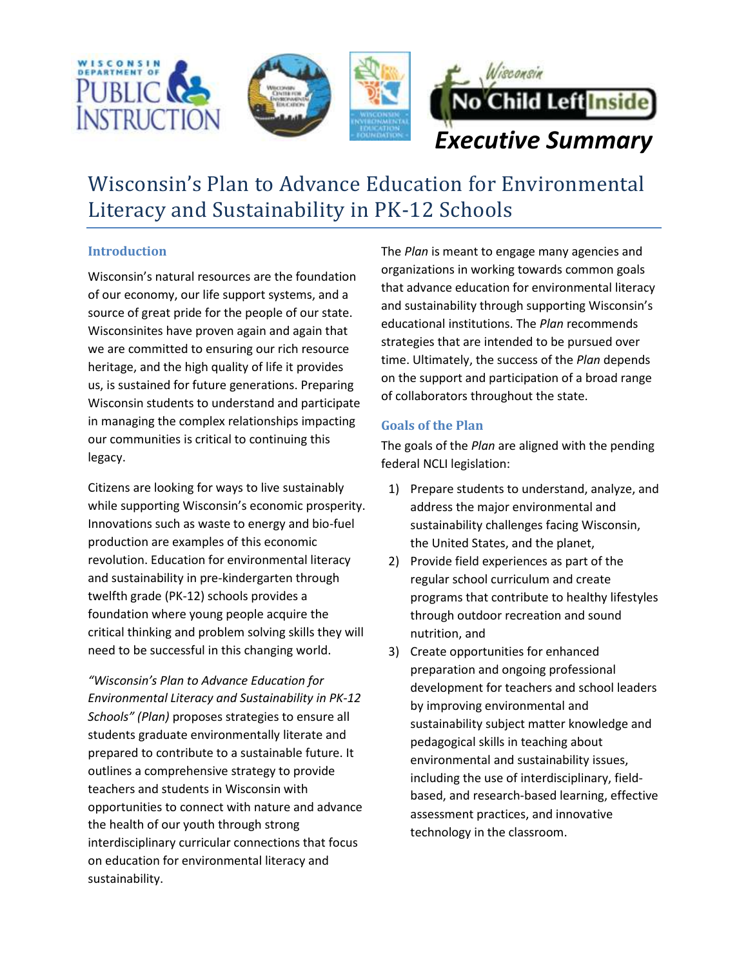

# Wisconsin's Plan to Advance Education for Environmental Literacy and Sustainability in PK-12 Schools

## **Introduction**

Wisconsin's natural resources are the foundation of our economy, our life support systems, and a source of great pride for the people of our state. Wisconsinites have proven again and again that we are committed to ensuring our rich resource heritage, and the high quality of life it provides us, is sustained for future generations. Preparing Wisconsin students to understand and participate in managing the complex relationships impacting our communities is critical to continuing this legacy.

Citizens are looking for ways to live sustainably while supporting Wisconsin's economic prosperity. Innovations such as waste to energy and bio-fuel production are examples of this economic revolution. Education for environmental literacy and sustainability in pre-kindergarten through twelfth grade (PK-12) schools provides a foundation where young people acquire the critical thinking and problem solving skills they will need to be successful in this changing world.

*"Wisconsin's Plan to Advance Education for Environmental Literacy and Sustainability in PK-12 Schools" (Plan)* proposes strategies to ensure all students graduate environmentally literate and prepared to contribute to a sustainable future. It outlines a comprehensive strategy to provide teachers and students in Wisconsin with opportunities to connect with nature and advance the health of our youth through strong interdisciplinary curricular connections that focus on education for environmental literacy and sustainability.

The *Plan* is meant to engage many agencies and organizations in working towards common goals that advance education for environmental literacy and sustainability through supporting Wisconsin's educational institutions. The *Plan* recommends strategies that are intended to be pursued over time. Ultimately, the success of the *Plan* depends on the support and participation of a broad range of collaborators throughout the state.

### **Goals of the Plan**

The goals of the *Plan* are aligned with the pending federal NCLI legislation:

- 1) Prepare students to understand, analyze, and address the major environmental and sustainability challenges facing Wisconsin, the United States, and the planet,
- 2) Provide field experiences as part of the regular school curriculum and create programs that contribute to healthy lifestyles through outdoor recreation and sound nutrition, and
- 3) Create opportunities for enhanced preparation and ongoing professional development for teachers and school leaders by improving environmental and sustainability subject matter knowledge and pedagogical skills in teaching about environmental and sustainability issues, including the use of interdisciplinary, fieldbased, and research-based learning, effective assessment practices, and innovative technology in the classroom.